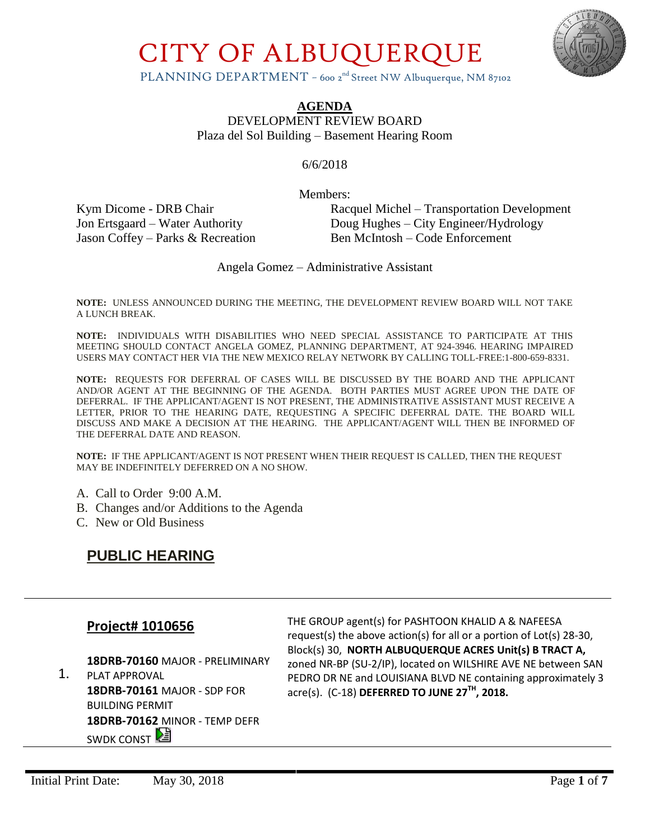

PLANNING DEPARTMENT - 600 2<sup>nd</sup> Street NW Albuquerque, NM 87102

**AGENDA**

DEVELOPMENT REVIEW BOARD Plaza del Sol Building – Basement Hearing Room

6/6/2018

Members:

Jason Coffey – Parks & Recreation Ben McIntosh – Code Enforcement

Kym Dicome - DRB Chair Racquel Michel – Transportation Development Jon Ertsgaard – Water Authority Doug Hughes – City Engineer/Hydrology

Angela Gomez – Administrative Assistant

**NOTE:** UNLESS ANNOUNCED DURING THE MEETING, THE DEVELOPMENT REVIEW BOARD WILL NOT TAKE A LUNCH BREAK.

**NOTE:** INDIVIDUALS WITH DISABILITIES WHO NEED SPECIAL ASSISTANCE TO PARTICIPATE AT THIS MEETING SHOULD CONTACT ANGELA GOMEZ, PLANNING DEPARTMENT, AT 924-3946. HEARING IMPAIRED USERS MAY CONTACT HER VIA THE NEW MEXICO RELAY NETWORK BY CALLING TOLL-FREE:1-800-659-8331.

**NOTE:** REQUESTS FOR DEFERRAL OF CASES WILL BE DISCUSSED BY THE BOARD AND THE APPLICANT AND/OR AGENT AT THE BEGINNING OF THE AGENDA. BOTH PARTIES MUST AGREE UPON THE DATE OF DEFERRAL. IF THE APPLICANT/AGENT IS NOT PRESENT, THE ADMINISTRATIVE ASSISTANT MUST RECEIVE A LETTER, PRIOR TO THE HEARING DATE, REQUESTING A SPECIFIC DEFERRAL DATE. THE BOARD WILL DISCUSS AND MAKE A DECISION AT THE HEARING. THE APPLICANT/AGENT WILL THEN BE INFORMED OF THE DEFERRAL DATE AND REASON.

**NOTE:** IF THE APPLICANT/AGENT IS NOT PRESENT WHEN THEIR REQUEST IS CALLED, THEN THE REQUEST MAY BE INDEFINITELY DEFERRED ON A NO SHOW.

- A. Call to Order 9:00 A.M.
- B. Changes and/or Additions to the Agenda
- C. New or Old Business

### **PUBLIC HEARING**

#### **Project# 1010656**

**18DRB-70160** MAJOR - PRELIMINARY

1. PLAT APPROVAL **18DRB-70161** MAJOR - SDP FOR BUILDING PERMIT **18DRB-70162** MINOR - TEMP DEFR **SWDK CONST** 

THE GROUP agent(s) for PASHTOON KHALID A & NAFEESA request(s) the above action(s) for all or a portion of Lot(s) 28-30, Block(s) 30, **NORTH ALBUQUERQUE ACRES Unit(s) B TRACT A,** zoned NR-BP (SU-2/IP), located on WILSHIRE AVE NE between SAN PEDRO DR NE and LOUISIANA BLVD NE containing approximately 3 acre(s). (C-18) **DEFERRED TO JUNE 27TH, 2018.**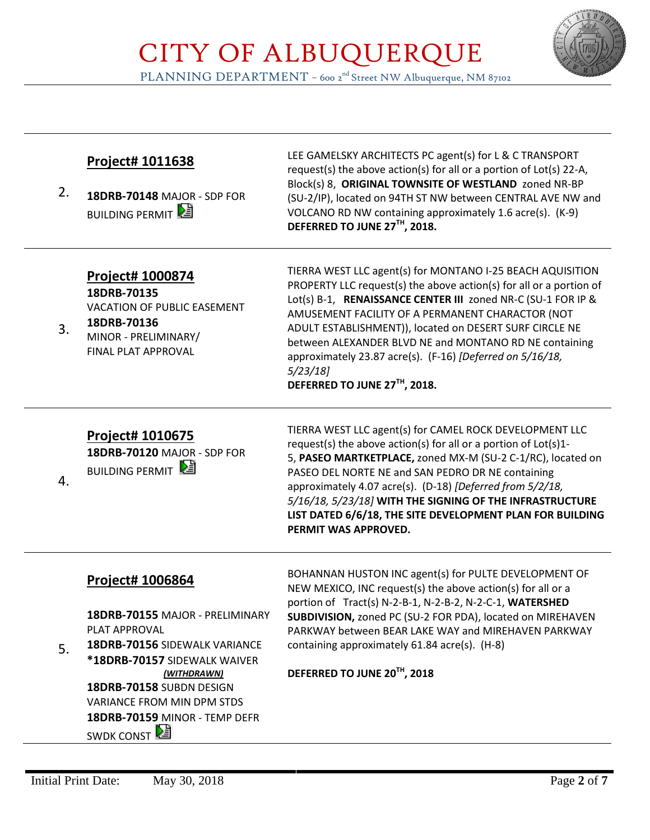

PLANNING DEPARTMENT – 600 2<sup>nd</sup> Street NW Albuquerque, NM 87102

| 2. | Project# 1011638<br>18DRB-70148 MAJOR - SDP FOR<br><b>BUILDING PERMIT</b>                                                                                                                                                                                                          | LEE GAMELSKY ARCHITECTS PC agent(s) for L & C TRANSPORT<br>request(s) the above action(s) for all or a portion of Lot(s) 22-A,<br>Block(s) 8, ORIGINAL TOWNSITE OF WESTLAND zoned NR-BP<br>(SU-2/IP), located on 94TH ST NW between CENTRAL AVE NW and<br>VOLCANO RD NW containing approximately 1.6 acre(s). (K-9)<br>DEFERRED TO JUNE 27TH, 2018.                                                                                                                                |
|----|------------------------------------------------------------------------------------------------------------------------------------------------------------------------------------------------------------------------------------------------------------------------------------|------------------------------------------------------------------------------------------------------------------------------------------------------------------------------------------------------------------------------------------------------------------------------------------------------------------------------------------------------------------------------------------------------------------------------------------------------------------------------------|
| 3. | Project# 1000874<br>18DRB-70135<br><b>VACATION OF PUBLIC EASEMENT</b><br>18DRB-70136<br>MINOR - PRELIMINARY/<br>FINAL PLAT APPROVAL                                                                                                                                                | TIERRA WEST LLC agent(s) for MONTANO I-25 BEACH AQUISITION<br>PROPERTY LLC request(s) the above action(s) for all or a portion of<br>Lot(s) B-1, RENAISSANCE CENTER III zoned NR-C (SU-1 FOR IP &<br>AMUSEMENT FACILITY OF A PERMANENT CHARACTOR (NOT<br>ADULT ESTABLISHMENT)), located on DESERT SURF CIRCLE NE<br>between ALEXANDER BLVD NE and MONTANO RD NE containing<br>approximately 23.87 acre(s). (F-16) [Deferred on 5/16/18,<br>5/23/18<br>DEFERRED TO JUNE 27TH, 2018. |
| 4. | Project# 1010675<br>18DRB-70120 MAJOR - SDP FOR<br><b>BUILDING PERMIT</b>                                                                                                                                                                                                          | TIERRA WEST LLC agent(s) for CAMEL ROCK DEVELOPMENT LLC<br>request(s) the above action(s) for all or a portion of Lot(s)1-<br>5, PASEO MARTKETPLACE, zoned MX-M (SU-2 C-1/RC), located on<br>PASEO DEL NORTE NE and SAN PEDRO DR NE containing<br>approximately 4.07 acre(s). (D-18) [Deferred from 5/2/18,<br>5/16/18, 5/23/18] WITH THE SIGNING OF THE INFRASTRUCTURE<br>LIST DATED 6/6/18, THE SITE DEVELOPMENT PLAN FOR BUILDING<br>PERMIT WAS APPROVED.                       |
| 5. | <b>Project# 1006864</b><br>18DRB-70155 MAJOR - PRELIMINARY<br>PLAT APPROVAL<br>18DRB-70156 SIDEWALK VARIANCE<br>*18DRB-70157 SIDEWALK WAIVER<br>(WITHDRAWN)<br>18DRB-70158 SUBDN DESIGN<br><b>VARIANCE FROM MIN DPM STDS</b><br>18DRB-70159 MINOR - TEMP DEFR<br><b>SWDK CONST</b> | BOHANNAN HUSTON INC agent(s) for PULTE DEVELOPMENT OF<br>NEW MEXICO, INC request(s) the above action(s) for all or a<br>portion of Tract(s) N-2-B-1, N-2-B-2, N-2-C-1, WATERSHED<br>SUBDIVISION, zoned PC (SU-2 FOR PDA), located on MIREHAVEN<br>PARKWAY between BEAR LAKE WAY and MIREHAVEN PARKWAY<br>containing approximately 61.84 acre(s). (H-8)<br>DEFERRED TO JUNE 20TH, 2018                                                                                              |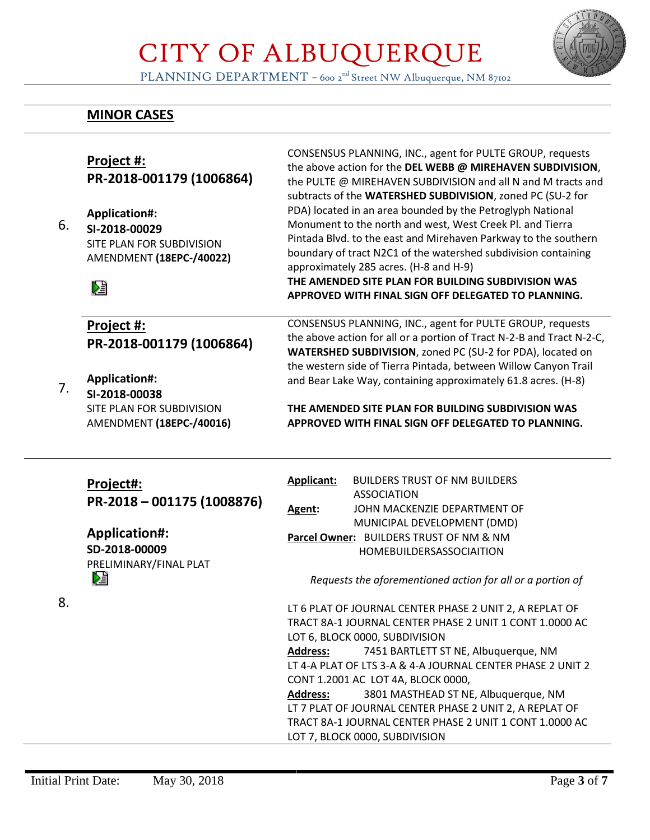

PLANNING DEPARTMENT – 600 2<sup>nd</sup> Street NW Albuquerque, NM 87102

### **MINOR CASES**

| 6. | Project #:<br>PR-2018-001179 (1006864)<br>Application#:<br>SI-2018-00029<br>SITE PLAN FOR SUBDIVISION<br>AMENDMENT (18EPC-/40022)<br>妇 | CONSENSUS PLANNING, INC., agent for PULTE GROUP, requests<br>the above action for the DEL WEBB @ MIREHAVEN SUBDIVISION,<br>the PULTE @ MIREHAVEN SUBDIVISION and all N and M tracts and<br>subtracts of the WATERSHED SUBDIVISION, zoned PC (SU-2 for<br>PDA) located in an area bounded by the Petroglyph National<br>Monument to the north and west, West Creek Pl. and Tierra<br>Pintada Blvd. to the east and Mirehaven Parkway to the southern<br>boundary of tract N2C1 of the watershed subdivision containing<br>approximately 285 acres. (H-8 and H-9)<br>THE AMENDED SITE PLAN FOR BUILDING SUBDIVISION WAS<br>APPROVED WITH FINAL SIGN OFF DELEGATED TO PLANNING.                                                                      |
|----|----------------------------------------------------------------------------------------------------------------------------------------|---------------------------------------------------------------------------------------------------------------------------------------------------------------------------------------------------------------------------------------------------------------------------------------------------------------------------------------------------------------------------------------------------------------------------------------------------------------------------------------------------------------------------------------------------------------------------------------------------------------------------------------------------------------------------------------------------------------------------------------------------|
|    | Project #:                                                                                                                             | CONSENSUS PLANNING, INC., agent for PULTE GROUP, requests                                                                                                                                                                                                                                                                                                                                                                                                                                                                                                                                                                                                                                                                                         |
|    | PR-2018-001179 (1006864)                                                                                                               | the above action for all or a portion of Tract N-2-B and Tract N-2-C,<br>WATERSHED SUBDIVISION, zoned PC (SU-2 for PDA), located on                                                                                                                                                                                                                                                                                                                                                                                                                                                                                                                                                                                                               |
|    |                                                                                                                                        | the western side of Tierra Pintada, between Willow Canyon Trail                                                                                                                                                                                                                                                                                                                                                                                                                                                                                                                                                                                                                                                                                   |
| 7. | <b>Application#:</b>                                                                                                                   | and Bear Lake Way, containing approximately 61.8 acres. (H-8)                                                                                                                                                                                                                                                                                                                                                                                                                                                                                                                                                                                                                                                                                     |
|    | SI-2018-00038                                                                                                                          |                                                                                                                                                                                                                                                                                                                                                                                                                                                                                                                                                                                                                                                                                                                                                   |
|    | SITE PLAN FOR SUBDIVISION<br>AMENDMENT (18EPC-/40016)                                                                                  | THE AMENDED SITE PLAN FOR BUILDING SUBDIVISION WAS<br>APPROVED WITH FINAL SIGN OFF DELEGATED TO PLANNING.                                                                                                                                                                                                                                                                                                                                                                                                                                                                                                                                                                                                                                         |
| 8. | Project#:<br>PR-2018-001175 (1008876)<br><b>Application#:</b><br>SD-2018-00009<br>PRELIMINARY/FINAL PLAT<br>V                          | <b>Applicant:</b><br><b>BUILDERS TRUST OF NM BUILDERS</b><br><b>ASSOCIATION</b><br>JOHN MACKENZIE DEPARTMENT OF<br>Agent:<br>MUNICIPAL DEVELOPMENT (DMD)<br>Parcel Owner: BUILDERS TRUST OF NM & NM<br><b>HOMEBUILDERSASSOCIAITION</b><br>Requests the aforementioned action for all or a portion of<br>LT 6 PLAT OF JOURNAL CENTER PHASE 2 UNIT 2, A REPLAT OF<br>TRACT 8A-1 JOURNAL CENTER PHASE 2 UNIT 1 CONT 1,0000 AC<br>LOT 6, BLOCK 0000, SUBDIVISION<br><b>Address:</b><br>7451 BARTLETT ST NE, Albuquerque, NM<br>LT 4-A PLAT OF LTS 3-A & 4-A JOURNAL CENTER PHASE 2 UNIT 2<br>CONT 1.2001 AC LOT 4A, BLOCK 0000,<br><b>Address:</b><br>3801 MASTHEAD ST NE, Albuquerque, NM<br>LT 7 PLAT OF JOURNAL CENTER PHASE 2 UNIT 2, A REPLAT OF |
|    |                                                                                                                                        |                                                                                                                                                                                                                                                                                                                                                                                                                                                                                                                                                                                                                                                                                                                                                   |
|    |                                                                                                                                        | TRACT 8A-1 JOURNAL CENTER PHASE 2 UNIT 1 CONT 1.0000 AC<br>LOT 7, BLOCK 0000, SUBDIVISION                                                                                                                                                                                                                                                                                                                                                                                                                                                                                                                                                                                                                                                         |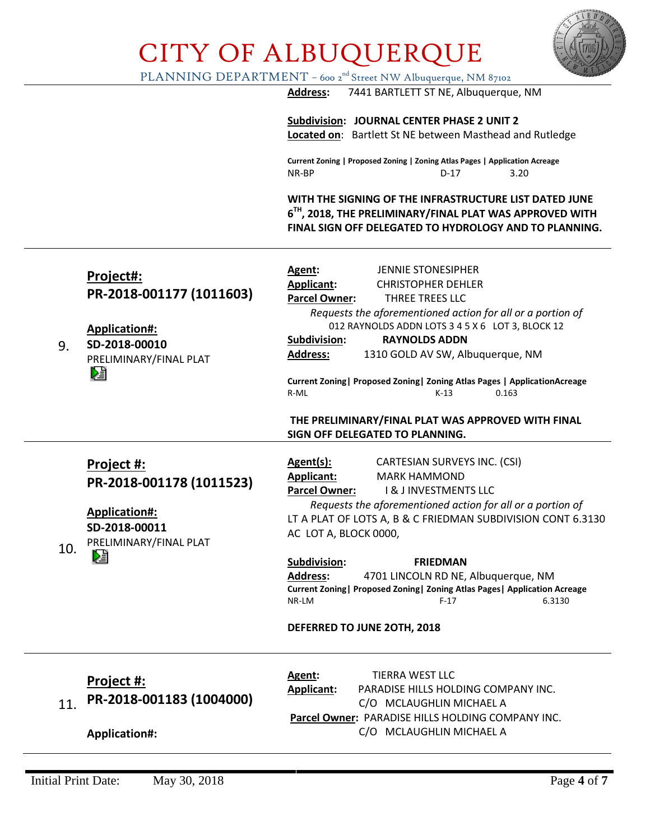

PLANNING DEPARTMENT – 600 2<sup>nd</sup> Street NW Albuquerque, NM 87102

**Address:** 7441 BARTLETT ST NE, Albuquerque, NM

**Subdivision: JOURNAL CENTER PHASE 2 UNIT 2 Located on**: Bartlett St NE between Masthead and Rutledge

**Current Zoning | Proposed Zoning | Zoning Atlas Pages | Application Acreage** NR-BP D-17 3.20

**WITH THE SIGNING OF THE INFRASTRUCTURE LIST DATED JUNE 6 TH, 2018, THE PRELIMINARY/FINAL PLAT WAS APPROVED WITH FINAL SIGN OFF DELEGATED TO HYDROLOGY AND TO PLANNING.**

| Project#:<br>PR-2018-001177 (1011603)                                                                                 | Agent:<br>JENNIE STONESIPHER<br>Applicant:<br><b>CHRISTOPHER DEHLER</b><br><b>Parcel Owner:</b><br>THREE TREES LLC                                                                                                                                                                                                                                                                                                                                                                                                                      |
|-----------------------------------------------------------------------------------------------------------------------|-----------------------------------------------------------------------------------------------------------------------------------------------------------------------------------------------------------------------------------------------------------------------------------------------------------------------------------------------------------------------------------------------------------------------------------------------------------------------------------------------------------------------------------------|
| Application#:<br>SD-2018-00010<br>PRELIMINARY/FINAL PLAT<br>DÊ                                                        | Requests the aforementioned action for all or a portion of<br>012 RAYNOLDS ADDN LOTS 3 4 5 X 6 LOT 3, BLOCK 12<br>Subdivision:<br><b>RAYNOLDS ADDN</b><br><b>Address:</b><br>1310 GOLD AV SW, Albuquerque, NM<br>Current Zoning   Proposed Zoning   Zoning Atlas Pages   Application Acreage<br>R-ML<br>$K-13$<br>0.163                                                                                                                                                                                                                 |
|                                                                                                                       | THE PRELIMINARY/FINAL PLAT WAS APPROVED WITH FINAL<br>SIGN OFF DELEGATED TO PLANNING.                                                                                                                                                                                                                                                                                                                                                                                                                                                   |
| Project #:<br>PR-2018-001178 (1011523)<br><b>Application#:</b><br>SD-2018-00011<br>PRELIMINARY/FINAL PLAT<br>10.<br>陸 | CARTESIAN SURVEYS INC. (CSI)<br>Agent(s):<br>Applicant:<br><b>MARK HAMMOND</b><br><b>1&amp; J INVESTMENTS LLC</b><br><b>Parcel Owner:</b><br>Requests the aforementioned action for all or a portion of<br>LT A PLAT OF LOTS A, B & C FRIEDMAN SUBDIVISION CONT 6.3130<br>AC LOT A, BLOCK 0000,<br>Subdivision:<br><b>FRIEDMAN</b><br><b>Address:</b><br>4701 LINCOLN RD NE, Albuquerque, NM<br>Current Zoning   Proposed Zoning   Zoning Atlas Pages   Application Acreage<br>NR-LM<br>6.3130<br>$F-17$<br>DEFERRED TO JUNE 20TH, 2018 |
| <b>Project #:</b><br>PR-2018-001183 (1004000)                                                                         | <b>TIERRA WEST LLC</b><br>Agent:<br>PARADISE HILLS HOLDING COMPANY INC.<br><b>Applicant:</b><br>C/O MCLAUGHLIN MICHAEL A<br>Parcel Owner: PARADISE HILLS HOLDING COMPANY INC.<br>C/O MCLAUGHLIN MICHAEL A                                                                                                                                                                                                                                                                                                                               |
|                                                                                                                       | <b>Application#:</b>                                                                                                                                                                                                                                                                                                                                                                                                                                                                                                                    |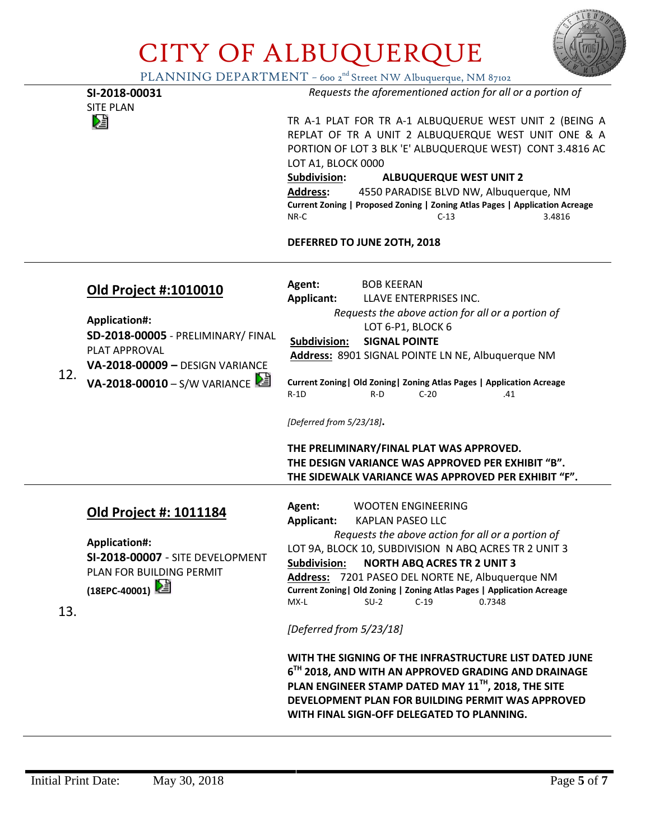

PLANNING DEPARTMENT – 600 2<sup>nd</sup> Street NW Albuquerque, NM 87102

|     |                                                                                                                                                       | $\bigcup$ DEI TIKT INIEIVI 000 2 Street IVW AlbuqueTque, IVIN 0/102                                                                                                                                                                                                                                                                                                                                                                                                                                                                                                                                                                                                                                                                                              |
|-----|-------------------------------------------------------------------------------------------------------------------------------------------------------|------------------------------------------------------------------------------------------------------------------------------------------------------------------------------------------------------------------------------------------------------------------------------------------------------------------------------------------------------------------------------------------------------------------------------------------------------------------------------------------------------------------------------------------------------------------------------------------------------------------------------------------------------------------------------------------------------------------------------------------------------------------|
|     | SI-2018-00031<br><b>SITE PLAN</b>                                                                                                                     | Requests the aforementioned action for all or a portion of                                                                                                                                                                                                                                                                                                                                                                                                                                                                                                                                                                                                                                                                                                       |
|     | 熠                                                                                                                                                     | TR A-1 PLAT FOR TR A-1 ALBUQUERUE WEST UNIT 2 (BEING A<br>REPLAT OF TR A UNIT 2 ALBUQUERQUE WEST UNIT ONE & A<br>PORTION OF LOT 3 BLK 'E' ALBUQUERQUE WEST) CONT 3.4816 AC<br>LOT A1, BLOCK 0000<br>Subdivision:<br><b>ALBUQUERQUE WEST UNIT 2</b><br><b>Address:</b><br>4550 PARADISE BLVD NW, Albuquerque, NM                                                                                                                                                                                                                                                                                                                                                                                                                                                  |
|     |                                                                                                                                                       | Current Zoning   Proposed Zoning   Zoning Atlas Pages   Application Acreage<br>NR-C<br>$C-13$<br>3.4816                                                                                                                                                                                                                                                                                                                                                                                                                                                                                                                                                                                                                                                          |
|     |                                                                                                                                                       | DEFERRED TO JUNE 20TH, 2018                                                                                                                                                                                                                                                                                                                                                                                                                                                                                                                                                                                                                                                                                                                                      |
| 12. | <b>Old Project #:1010010</b><br><b>Application#:</b><br><b>SD-2018-00005 - PRELIMINARY/ FINAL</b><br>PLAT APPROVAL<br>VA-2018-00009 - DESIGN VARIANCE | Agent:<br><b>BOB KEERAN</b><br><b>Applicant:</b><br>LLAVE ENTERPRISES INC.<br>Requests the above action for all or a portion of<br>LOT 6-P1, BLOCK 6<br><b>SIGNAL POINTE</b><br>Subdivision:<br>Address: 8901 SIGNAL POINTE LN NE, Albuquerque NM                                                                                                                                                                                                                                                                                                                                                                                                                                                                                                                |
|     | VA-2018-00010 - S/W VARIANCE                                                                                                                          | Current Zoning   Old Zoning   Zoning Atlas Pages   Application Acreage<br>$R-D$<br>$C-20$<br>.41<br>$R-1D$<br>[Deferred from 5/23/18].<br>THE PRELIMINARY/FINAL PLAT WAS APPROVED.<br>THE DESIGN VARIANCE WAS APPROVED PER EXHIBIT "B".<br>THE SIDEWALK VARIANCE WAS APPROVED PER EXHIBIT "F".                                                                                                                                                                                                                                                                                                                                                                                                                                                                   |
| 13. | Old Project #: 1011184<br><b>Application#:</b><br><b>SI-2018-00007 - SITE DEVELOPMENT</b><br>PLAN FOR BUILDING PERMIT<br>(18EPC-40001)   1            | Agent:<br><b>WOOTEN ENGINEERING</b><br><b>Applicant:</b><br><b>KAPLAN PASEO LLC</b><br>Requests the above action for all or a portion of<br>LOT 9A, BLOCK 10, SUBDIVISION N ABQ ACRES TR 2 UNIT 3<br><b>Subdivision:</b><br><b>NORTH ABQ ACRES TR 2 UNIT 3</b><br>Address: 7201 PASEO DEL NORTE NE, Albuquerque NM<br>Current Zoning   Old Zoning   Zoning Atlas Pages   Application Acreage<br>MX-L<br>$C-19$<br>0.7348<br>$SU-2$<br>[Deferred from 5/23/18]<br>WITH THE SIGNING OF THE INFRASTRUCTURE LIST DATED JUNE<br>6 <sup>TH</sup> 2018, AND WITH AN APPROVED GRADING AND DRAINAGE<br>PLAN ENGINEER STAMP DATED MAY 11 <sup>TH</sup> , 2018, THE SITE<br>DEVELOPMENT PLAN FOR BUILDING PERMIT WAS APPROVED<br>WITH FINAL SIGN-OFF DELEGATED TO PLANNING. |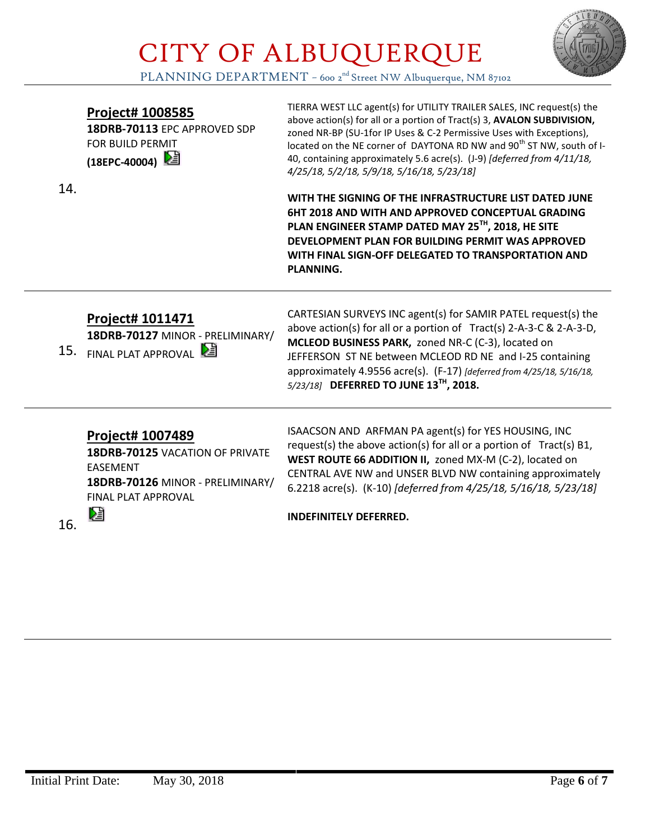

PLANNING DEPARTMENT - 600 2<sup>nd</sup> Street NW Albuquerque, NM 87102

#### **Project# 1008585**

**18DRB-70113** EPC APPROVED SDP FOR BUILD PERMIT **(18EPC-40004)** 

14.

TIERRA WEST LLC agent(s) for UTILITY TRAILER SALES, INC request(s) the above action(s) for all or a portion of Tract(s) 3, **AVALON SUBDIVISION,** zoned NR-BP (SU-1for IP Uses & C-2 Permissive Uses with Exceptions), located on the NE corner of DAYTONA RD NW and 90<sup>th</sup> ST NW, south of I-40, containing approximately 5.6 acre(s). (J-9) *[deferred from 4/11/18, 4/25/18, 5/2/18, 5/9/18, 5/16/18, 5/23/18]*

**WITH THE SIGNING OF THE INFRASTRUCTURE LIST DATED JUNE 6HT 2018 AND WITH AND APPROVED CONCEPTUAL GRADING PLAN ENGINEER STAMP DATED MAY 25TH, 2018, HE SITE DEVELOPMENT PLAN FOR BUILDING PERMIT WAS APPROVED WITH FINAL SIGN-OFF DELEGATED TO TRANSPORTATION AND PLANNING.** 

### **Project# 1011471**

**18DRB-70127** MINOR - PRELIMINARY/

15. FINAL PLAT APPROVAL

CARTESIAN SURVEYS INC agent(s) for SAMIR PATEL request(s) the above action(s) for all or a portion of Tract(s) 2-A-3-C & 2-A-3-D, **MCLEOD BUSINESS PARK,** zoned NR-C (C-3), located on JEFFERSON ST NE between MCLEOD RD NE and I-25 containing approximately 4.9556 acre(s). (F-17) *[deferred from 4/25/18, 5/16/18, 5/23/18]* **DEFERRED TO JUNE 13TH, 2018.**

#### **Project# 1007489**

**18DRB-70125** VACATION OF PRIVATE EASEMENT **18DRB-70126** MINOR - PRELIMINARY/ FINAL PLAT APPROVAL

16.

DË

ISAACSON AND ARFMAN PA agent(s) for YES HOUSING, INC request(s) the above action(s) for all or a portion of  $Tract(s) B1$ , **WEST ROUTE 66 ADDITION II,** zoned MX-M (C-2), located on CENTRAL AVE NW and UNSER BLVD NW containing approximately 6.2218 acre(s). (K-10) *[deferred from 4/25/18, 5/16/18, 5/23/18]*

**INDEFINITELY DEFERRED.**